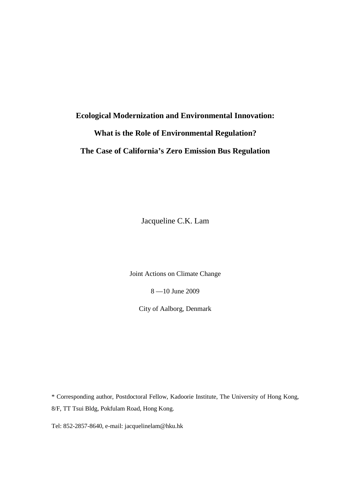# **Ecological Modernization and Environmental Innovation: What is the Role of Environmental Regulation? The Case of California's Zero Emission Bus Regulation**

Jacqueline C.K. Lam

Joint Actions on Climate Change

8 —10 June 2009

City of Aalborg, Denmark

\* Corresponding author, Postdoctoral Fellow, Kadoorie Institute, The University of Hong Kong, 8/F, TT Tsui Bldg, Pokfulam Road, Hong Kong.

Tel: 852-2857-8640, e-mail: jacquelinelam@hku.hk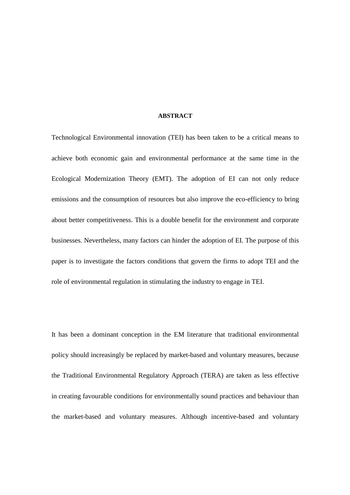### **ABSTRACT**

Technological Environmental innovation (TEI) has been taken to be a critical means to achieve both economic gain and environmental performance at the same time in the Ecological Modernization Theory (EMT). The adoption of EI can not only reduce emissions and the consumption of resources but also improve the eco-efficiency to bring about better competitiveness. This is a double benefit for the environment and corporate businesses. Nevertheless, many factors can hinder the adoption of EI. The purpose of this paper is to investigate the factors conditions that govern the firms to adopt TEI and the role of environmental regulation in stimulating the industry to engage in TEI.

It has been a dominant conception in the EM literature that traditional environmental policy should increasingly be replaced by market-based and voluntary measures, because the Traditional Environmental Regulatory Approach (TERA) are taken as less effective in creating favourable conditions for environmentally sound practices and behaviour than the market-based and voluntary measures. Although incentive-based and voluntary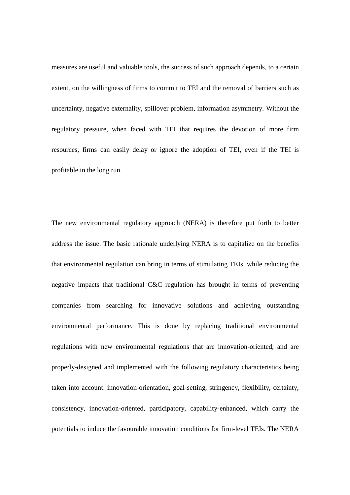measures are useful and valuable tools, the success of such approach depends, to a certain extent, on the willingness of firms to commit to TEI and the removal of barriers such as uncertainty, negative externality, spillover problem, information asymmetry. Without the regulatory pressure, when faced with TEI that requires the devotion of more firm resources, firms can easily delay or ignore the adoption of TEI, even if the TEI is profitable in the long run.

The new environmental regulatory approach (NERA) is therefore put forth to better address the issue. The basic rationale underlying NERA is to capitalize on the benefits that environmental regulation can bring in terms of stimulating TEIs, while reducing the negative impacts that traditional C&C regulation has brought in terms of preventing companies from searching for innovative solutions and achieving outstanding environmental performance. This is done by replacing traditional environmental regulations with new environmental regulations that are innovation-oriented, and are properly-designed and implemented with the following regulatory characteristics being taken into account: innovation-orientation, goal-setting, stringency, flexibility, certainty, consistency, innovation-oriented, participatory, capability-enhanced, which carry the potentials to induce the favourable innovation conditions for firm-level TEIs. The NERA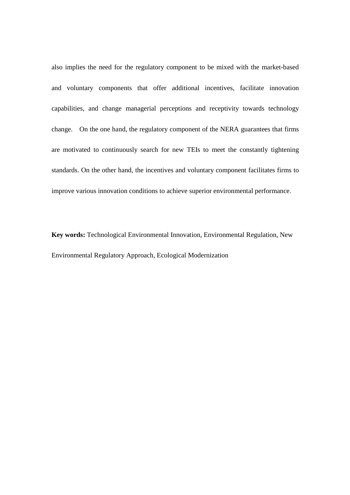also implies the need for the regulatory component to be mixed with the market-based and voluntary components that offer additional incentives, facilitate innovation capabilities, and change managerial perceptions and receptivity towards technology change. On the one hand, the regulatory component of the NERA guarantees that firms are motivated to continuously search for new TEIs to meet the constantly tightening standards. On the other hand, the incentives and voluntary component facilitates firms to improve various innovation conditions to achieve superior environmental performance.

**Key words:** Technological Environmental Innovation, Environmental Regulation, New Environmental Regulatory Approach, Ecological Modernization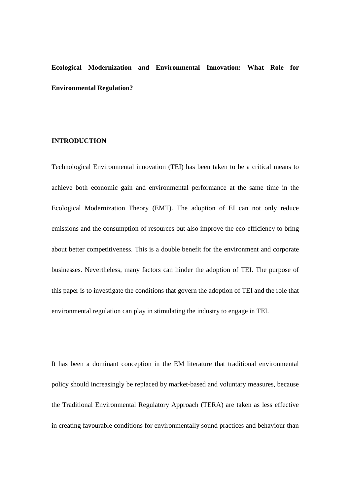## **Ecological Modernization and Environmental Innovation: What Role for Environmental Regulation?**

## **INTRODUCTION**

Technological Environmental innovation (TEI) has been taken to be a critical means to achieve both economic gain and environmental performance at the same time in the Ecological Modernization Theory (EMT). The adoption of EI can not only reduce emissions and the consumption of resources but also improve the eco-efficiency to bring about better competitiveness. This is a double benefit for the environment and corporate businesses. Nevertheless, many factors can hinder the adoption of TEI. The purpose of this paper is to investigate the conditions that govern the adoption of TEI and the role that environmental regulation can play in stimulating the industry to engage in TEI.

It has been a dominant conception in the EM literature that traditional environmental policy should increasingly be replaced by market-based and voluntary measures, because the Traditional Environmental Regulatory Approach (TERA) are taken as less effective in creating favourable conditions for environmentally sound practices and behaviour than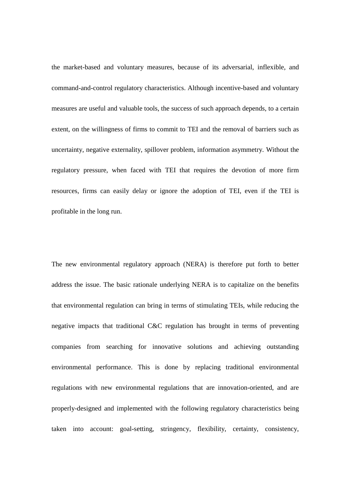the market-based and voluntary measures, because of its adversarial, inflexible, and command-and-control regulatory characteristics. Although incentive-based and voluntary measures are useful and valuable tools, the success of such approach depends, to a certain extent, on the willingness of firms to commit to TEI and the removal of barriers such as uncertainty, negative externality, spillover problem, information asymmetry. Without the regulatory pressure, when faced with TEI that requires the devotion of more firm resources, firms can easily delay or ignore the adoption of TEI, even if the TEI is profitable in the long run.

The new environmental regulatory approach (NERA) is therefore put forth to better address the issue. The basic rationale underlying NERA is to capitalize on the benefits that environmental regulation can bring in terms of stimulating TEIs, while reducing the negative impacts that traditional C&C regulation has brought in terms of preventing companies from searching for innovative solutions and achieving outstanding environmental performance. This is done by replacing traditional environmental regulations with new environmental regulations that are innovation-oriented, and are properly-designed and implemented with the following regulatory characteristics being taken into account: goal-setting, stringency, flexibility, certainty, consistency,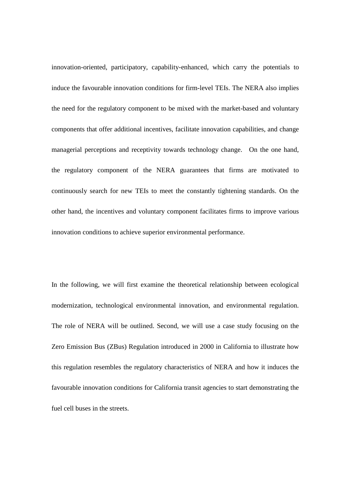innovation-oriented, participatory, capability-enhanced, which carry the potentials to induce the favourable innovation conditions for firm-level TEIs. The NERA also implies the need for the regulatory component to be mixed with the market-based and voluntary components that offer additional incentives, facilitate innovation capabilities, and change managerial perceptions and receptivity towards technology change. On the one hand, the regulatory component of the NERA guarantees that firms are motivated to continuously search for new TEIs to meet the constantly tightening standards. On the other hand, the incentives and voluntary component facilitates firms to improve various innovation conditions to achieve superior environmental performance.

In the following, we will first examine the theoretical relationship between ecological modernization, technological environmental innovation, and environmental regulation. The role of NERA will be outlined. Second, we will use a case study focusing on the Zero Emission Bus (ZBus) Regulation introduced in 2000 in California to illustrate how this regulation resembles the regulatory characteristics of NERA and how it induces the favourable innovation conditions for California transit agencies to start demonstrating the fuel cell buses in the streets.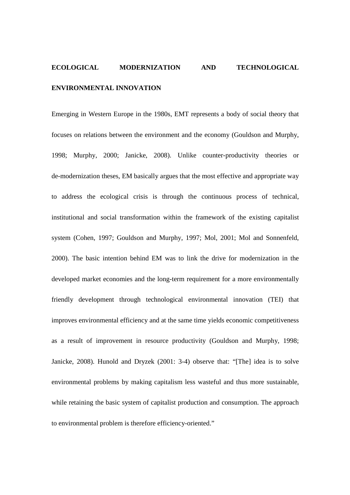## **ECOLOGICAL MODERNIZATION AND TECHNOLOGICAL ENVIRONMENTAL INNOVATION**

Emerging in Western Europe in the 1980s, EMT represents a body of social theory that focuses on relations between the environment and the economy (Gouldson and Murphy, 1998; Murphy, 2000; Janicke, 2008). Unlike counter-productivity theories or de-modernization theses, EM basically argues that the most effective and appropriate way to address the ecological crisis is through the continuous process of technical, institutional and social transformation within the framework of the existing capitalist system (Cohen, 1997; Gouldson and Murphy, 1997; Mol, 2001; Mol and Sonnenfeld, 2000). The basic intention behind EM was to link the drive for modernization in the developed market economies and the long-term requirement for a more environmentally friendly development through technological environmental innovation (TEI) that improves environmental efficiency and at the same time yields economic competitiveness as a result of improvement in resource productivity (Gouldson and Murphy, 1998; Janicke, 2008). Hunold and Dryzek (2001: 3-4) observe that: "[The] idea is to solve environmental problems by making capitalism less wasteful and thus more sustainable, while retaining the basic system of capitalist production and consumption. The approach to environmental problem is therefore efficiency-oriented."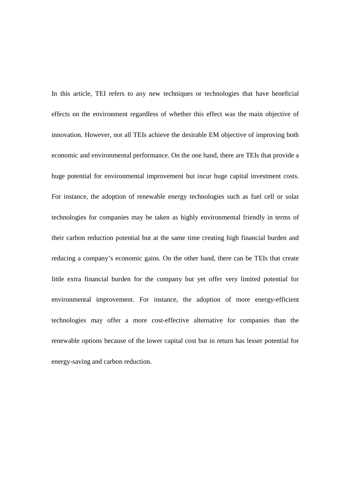In this article, TEI refers to any new techniques or technologies that have beneficial effects on the environment regardless of whether this effect was the main objective of innovation. However, not all TEIs achieve the desirable EM objective of improving both economic and environmental performance. On the one hand, there are TEIs that provide a huge potential for environmental improvement but incur huge capital investment costs. For instance, the adoption of renewable energy technologies such as fuel cell or solar technologies for companies may be taken as highly environmental friendly in terms of their carbon reduction potential but at the same time creating high financial burden and reducing a company's economic gains. On the other hand, there can be TEIs that create little extra financial burden for the company but yet offer very limited potential for environmental improvement. For instance, the adoption of more energy-efficient technologies may offer a more cost-effective alternative for companies than the renewable options because of the lower capital cost but in return has lesser potential for energy-saving and carbon reduction.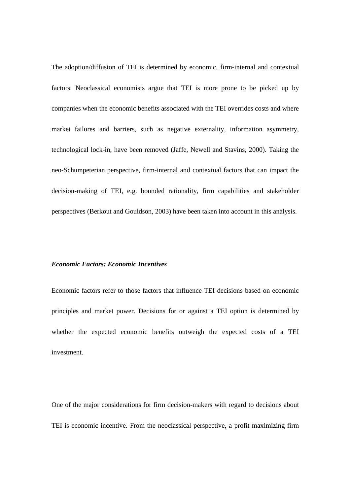The adoption/diffusion of TEI is determined by economic, firm-internal and contextual factors. Neoclassical economists argue that TEI is more prone to be picked up by companies when the economic benefits associated with the TEI overrides costs and where market failures and barriers, such as negative externality, information asymmetry, technological lock-in, have been removed (Jaffe, Newell and Stavins, 2000). Taking the neo-Schumpeterian perspective, firm-internal and contextual factors that can impact the decision-making of TEI, e.g. bounded rationality, firm capabilities and stakeholder perspectives (Berkout and Gouldson, 2003) have been taken into account in this analysis.

#### *Economic Factors: Economic Incentives*

Economic factors refer to those factors that influence TEI decisions based on economic principles and market power. Decisions for or against a TEI option is determined by whether the expected economic benefits outweigh the expected costs of a TEI investment.

One of the major considerations for firm decision-makers with regard to decisions about TEI is economic incentive. From the neoclassical perspective, a profit maximizing firm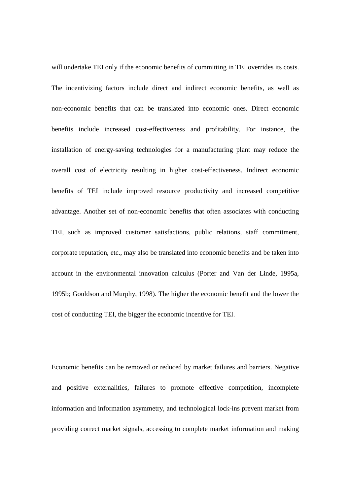will undertake TEI only if the economic benefits of committing in TEI overrides its costs. The incentivizing factors include direct and indirect economic benefits, as well as non-economic benefits that can be translated into economic ones. Direct economic benefits include increased cost-effectiveness and profitability. For instance, the installation of energy-saving technologies for a manufacturing plant may reduce the overall cost of electricity resulting in higher cost-effectiveness. Indirect economic benefits of TEI include improved resource productivity and increased competitive advantage. Another set of non-economic benefits that often associates with conducting TEI, such as improved customer satisfactions, public relations, staff commitment, corporate reputation, etc., may also be translated into economic benefits and be taken into account in the environmental innovation calculus (Porter and Van der Linde, 1995a, 1995b; Gouldson and Murphy, 1998). The higher the economic benefit and the lower the cost of conducting TEI, the bigger the economic incentive for TEI.

Economic benefits can be removed or reduced by market failures and barriers. Negative and positive externalities, failures to promote effective competition, incomplete information and information asymmetry, and technological lock-ins prevent market from providing correct market signals, accessing to complete market information and making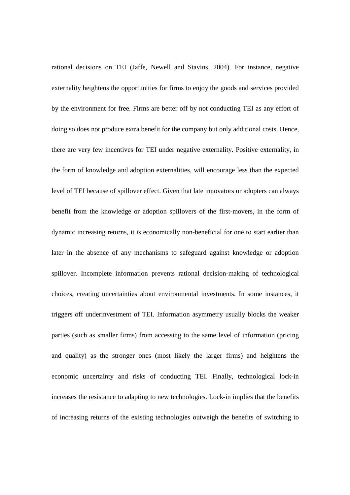rational decisions on TEI (Jaffe, Newell and Stavins, 2004). For instance, negative externality heightens the opportunities for firms to enjoy the goods and services provided by the environment for free. Firms are better off by not conducting TEI as any effort of doing so does not produce extra benefit for the company but only additional costs. Hence, there are very few incentives for TEI under negative externality. Positive externality, in the form of knowledge and adoption externalities, will encourage less than the expected level of TEI because of spillover effect. Given that late innovators or adopters can always benefit from the knowledge or adoption spillovers of the first-movers, in the form of dynamic increasing returns, it is economically non-beneficial for one to start earlier than later in the absence of any mechanisms to safeguard against knowledge or adoption spillover. Incomplete information prevents rational decision-making of technological choices, creating uncertainties about environmental investments. In some instances, it triggers off underinvestment of TEI. Information asymmetry usually blocks the weaker parties (such as smaller firms) from accessing to the same level of information (pricing and quality) as the stronger ones (most likely the larger firms) and heightens the economic uncertainty and risks of conducting TEI. Finally, technological lock-in increases the resistance to adapting to new technologies. Lock-in implies that the benefits of increasing returns of the existing technologies outweigh the benefits of switching to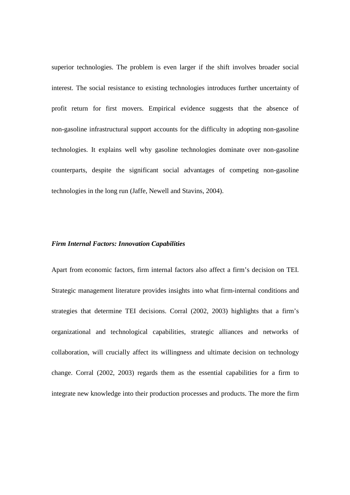superior technologies. The problem is even larger if the shift involves broader social interest. The social resistance to existing technologies introduces further uncertainty of profit return for first movers. Empirical evidence suggests that the absence of non-gasoline infrastructural support accounts for the difficulty in adopting non-gasoline technologies. It explains well why gasoline technologies dominate over non-gasoline counterparts, despite the significant social advantages of competing non-gasoline technologies in the long run (Jaffe, Newell and Stavins, 2004).

## *Firm Internal Factors: Innovation Capabilities*

Apart from economic factors, firm internal factors also affect a firm's decision on TEI. Strategic management literature provides insights into what firm-internal conditions and strategies that determine TEI decisions. Corral (2002, 2003) highlights that a firm's organizational and technological capabilities, strategic alliances and networks of collaboration, will crucially affect its willingness and ultimate decision on technology change. Corral (2002, 2003) regards them as the essential capabilities for a firm to integrate new knowledge into their production processes and products. The more the firm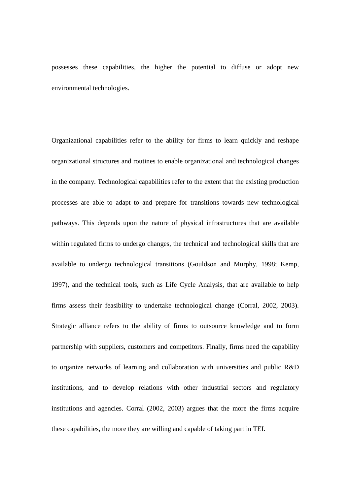possesses these capabilities, the higher the potential to diffuse or adopt new environmental technologies.

Organizational capabilities refer to the ability for firms to learn quickly and reshape organizational structures and routines to enable organizational and technological changes in the company. Technological capabilities refer to the extent that the existing production processes are able to adapt to and prepare for transitions towards new technological pathways. This depends upon the nature of physical infrastructures that are available within regulated firms to undergo changes, the technical and technological skills that are available to undergo technological transitions (Gouldson and Murphy, 1998; Kemp, 1997), and the technical tools, such as Life Cycle Analysis, that are available to help firms assess their feasibility to undertake technological change (Corral, 2002, 2003). Strategic alliance refers to the ability of firms to outsource knowledge and to form partnership with suppliers, customers and competitors. Finally, firms need the capability to organize networks of learning and collaboration with universities and public R&D institutions, and to develop relations with other industrial sectors and regulatory institutions and agencies. Corral (2002, 2003) argues that the more the firms acquire these capabilities, the more they are willing and capable of taking part in TEI.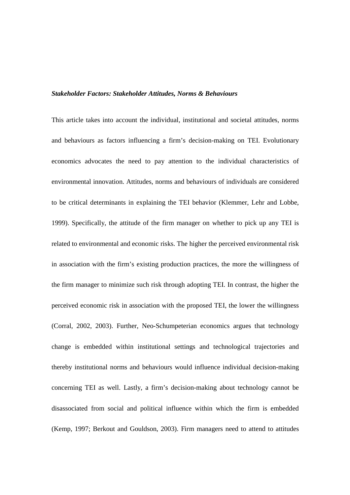## *Stakeholder Factors: Stakeholder Attitudes, Norms & Behaviours*

This article takes into account the individual, institutional and societal attitudes, norms and behaviours as factors influencing a firm's decision-making on TEI. Evolutionary economics advocates the need to pay attention to the individual characteristics of environmental innovation. Attitudes, norms and behaviours of individuals are considered to be critical determinants in explaining the TEI behavior (Klemmer, Lehr and Lobbe, 1999). Specifically, the attitude of the firm manager on whether to pick up any TEI is related to environmental and economic risks. The higher the perceived environmental risk in association with the firm's existing production practices, the more the willingness of the firm manager to minimize such risk through adopting TEI. In contrast, the higher the perceived economic risk in association with the proposed TEI, the lower the willingness (Corral, 2002, 2003). Further, Neo-Schumpeterian economics argues that technology change is embedded within institutional settings and technological trajectories and thereby institutional norms and behaviours would influence individual decision-making concerning TEI as well. Lastly, a firm's decision-making about technology cannot be disassociated from social and political influence within which the firm is embedded (Kemp, 1997; Berkout and Gouldson, 2003). Firm managers need to attend to attitudes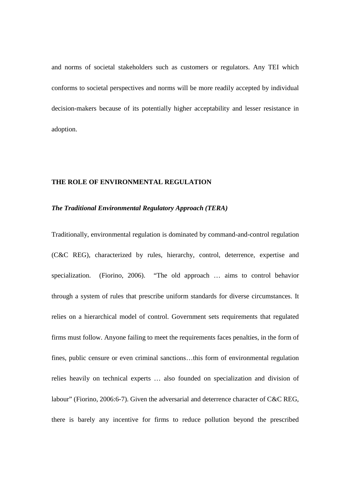and norms of societal stakeholders such as customers or regulators. Any TEI which conforms to societal perspectives and norms will be more readily accepted by individual decision-makers because of its potentially higher acceptability and lesser resistance in adoption.

#### **THE ROLE OF ENVIRONMENTAL REGULATION**

### *The Traditional Environmental Regulatory Approach (TERA)*

Traditionally, environmental regulation is dominated by command-and-control regulation (C&C REG), characterized by rules, hierarchy, control, deterrence, expertise and specialization. (Fiorino, 2006). "The old approach … aims to control behavior through a system of rules that prescribe uniform standards for diverse circumstances. It relies on a hierarchical model of control. Government sets requirements that regulated firms must follow. Anyone failing to meet the requirements faces penalties, in the form of fines, public censure or even criminal sanctions…this form of environmental regulation relies heavily on technical experts … also founded on specialization and division of labour" (Fiorino, 2006:6-7). Given the adversarial and deterrence character of C&C REG, there is barely any incentive for firms to reduce pollution beyond the prescribed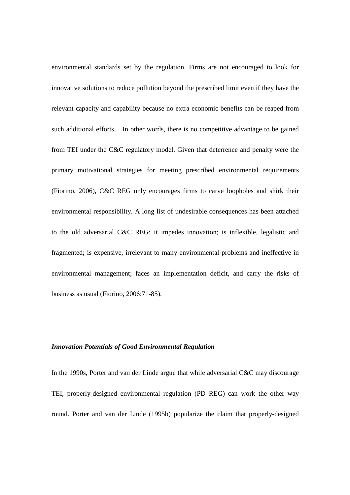environmental standards set by the regulation. Firms are not encouraged to look for innovative solutions to reduce pollution beyond the prescribed limit even if they have the relevant capacity and capability because no extra economic benefits can be reaped from such additional efforts. In other words, there is no competitive advantage to be gained from TEI under the C&C regulatory model. Given that deterrence and penalty were the primary motivational strategies for meeting prescribed environmental requirements (Fiorino, 2006), C&C REG only encourages firms to carve loopholes and shirk their environmental responsibility. A long list of undesirable consequences has been attached to the old adversarial C&C REG: it impedes innovation; is inflexible, legalistic and fragmented; is expensive, irrelevant to many environmental problems and ineffective in environmental management; faces an implementation deficit, and carry the risks of business as usual (Fìorino, 2006:71-85).

## *Innovation Potentials of Good Environmental Regulation*

In the 1990s, Porter and van der Linde argue that while adversarial C&C may discourage TEI, properly-designed environmental regulation (PD REG) can work the other way round. Porter and van der Linde (1995b) popularize the claim that properly-designed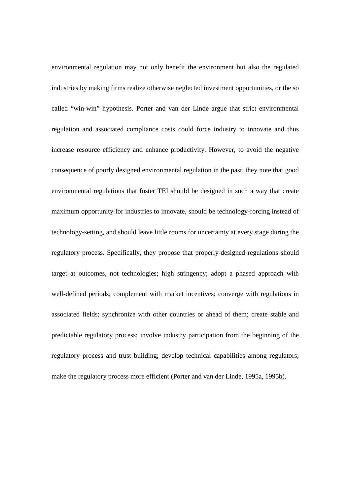environmental regulation may not only benefit the environment but also the regulated industries by making firms realize otherwise neglected investment opportunities, or the so called "win-win" hypothesis. Porter and van der Linde argue that strict environmental regulation and associated compliance costs could force industry to innovate and thus increase resource efficiency and enhance productivity. However, to avoid the negative consequence of poorly designed environmental regulation in the past, they note that good environmental regulations that foster TEI should be designed in such a way that create maximum opportunity for industries to innovate, should be technology-forcing instead of technology-setting, and should leave little rooms for uncertainty at every stage during the regulatory process. Specifically, they propose that properly-designed regulations should target at outcomes, not technologies; high stringency; adopt a phased approach with well-defined periods; complement with market incentives; converge with regulations in associated fields; synchronize with other countries or ahead of them; create stable and predictable regulatory process; involve industry participation from the beginning of the regulatory process and trust building; develop technical capabilities among regulators; make the regulatory process more efficient (Porter and van der Linde, 1995a, 1995b).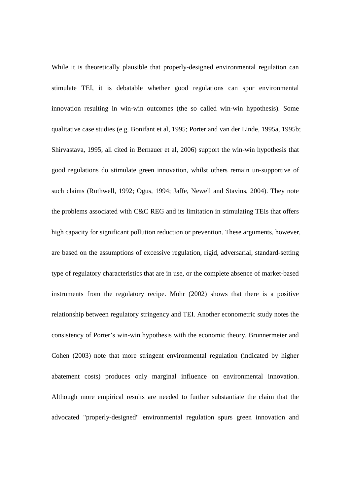While it is theoretically plausible that properly-designed environmental regulation can stimulate TEI, it is debatable whether good regulations can spur environmental innovation resulting in win-win outcomes (the so called win-win hypothesis). Some qualitative case studies (e.g. Bonifant et al, 1995; Porter and van der Linde, 1995a, 1995b; Shirvastava, 1995, all cited in Bernauer et al, 2006) support the win-win hypothesis that good regulations do stimulate green innovation, whilst others remain un-supportive of such claims (Rothwell, 1992; Ogus, 1994; Jaffe, Newell and Stavins, 2004). They note the problems associated with C&C REG and its limitation in stimulating TEIs that offers high capacity for significant pollution reduction or prevention. These arguments, however, are based on the assumptions of excessive regulation, rigid, adversarial, standard-setting type of regulatory characteristics that are in use, or the complete absence of market-based instruments from the regulatory recipe. Mohr (2002) shows that there is a positive relationship between regulatory stringency and TEI. Another econometric study notes the consistency of Porter's win-win hypothesis with the economic theory. Brunnermeier and Cohen (2003) note that more stringent environmental regulation (indicated by higher abatement costs) produces only marginal influence on environmental innovation. Although more empirical results are needed to further substantiate the claim that the advocated "properly-designed" environmental regulation spurs green innovation and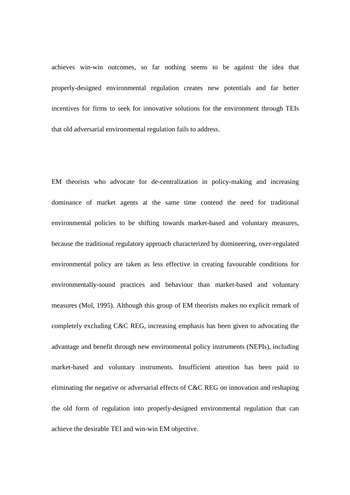achieves win-win outcomes, so far nothing seems to be against the idea that properly-designed environmental regulation creates new potentials and far better incentives for firms to seek for innovative solutions for the environment through TEIs that old adversarial environmental regulation fails to address.

EM theorists who advocate for de-centralization in policy-making and increasing dominance of market agents at the same time contend the need for traditional environmental policies to be shifting towards market-based and voluntary measures, because the traditional regulatory approach characterized by domineering, over-regulated environmental policy are taken as less effective in creating favourable conditions for environmentally-sound practices and behaviour than market-based and voluntary measures (Mol, 1995). Although this group of EM theorists makes no explicit remark of completely excluding C&C REG, increasing emphasis has been given to advocating the advantage and benefit through new environmental policy instruments (NEPIs), including market-based and voluntary instruments. Insufficient attention has been paid to eliminating the negative or adversarial effects of C&C REG on innovation and reshaping the old form of regulation into properly-designed environmental regulation that can achieve the desirable TEI and win-win EM objective.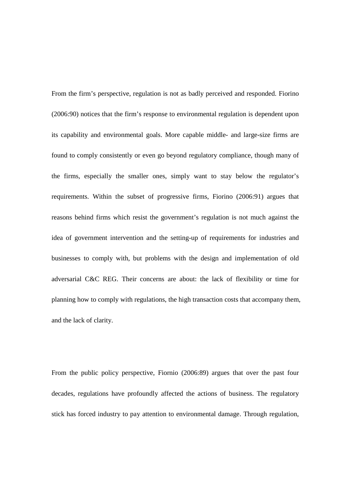From the firm's perspective, regulation is not as badly perceived and responded. Fiorino (2006:90) notices that the firm's response to environmental regulation is dependent upon its capability and environmental goals. More capable middle- and large-size firms are found to comply consistently or even go beyond regulatory compliance, though many of the firms, especially the smaller ones, simply want to stay below the regulator's requirements. Within the subset of progressive firms, Fiorino (2006:91) argues that reasons behind firms which resist the government's regulation is not much against the idea of government intervention and the setting-up of requirements for industries and businesses to comply with, but problems with the design and implementation of old adversarial C&C REG. Their concerns are about: the lack of flexibility or time for planning how to comply with regulations, the high transaction costs that accompany them, and the lack of clarity.

From the public policy perspective, Fiornio (2006:89) argues that over the past four decades, regulations have profoundly affected the actions of business. The regulatory stick has forced industry to pay attention to environmental damage. Through regulation,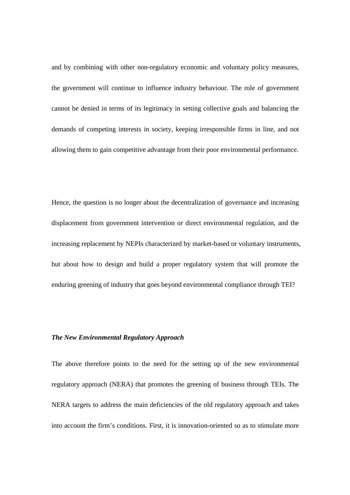and by combining with other non-regulatory economic and voluntary policy measures, the government will continue to influence industry behaviour. The role of government cannot be denied in terms of its legitimacy in setting collective goals and balancing the demands of competing interests in society, keeping irresponsible firms in line, and not allowing them to gain competitive advantage from their poor environmental performance.

Hence, the question is no longer about the decentralization of governance and increasing displacement from government intervention or direct environmental regulation, and the increasing replacement by NEPIs characterized by market-based or voluntary instruments, but about how to design and build a proper regulatory system that will promote the enduring greening of industry that goes beyond environmental compliance through TEI?

## *The New Environmental Regulatory Approach*

The above therefore points to the need for the setting up of the new environmental regulatory approach (NERA) that promotes the greening of business through TEIs. The NERA targets to address the main deficiencies of the old regulatory approach and takes into account the firm's conditions. First, it is innovation-oriented so as to stimulate more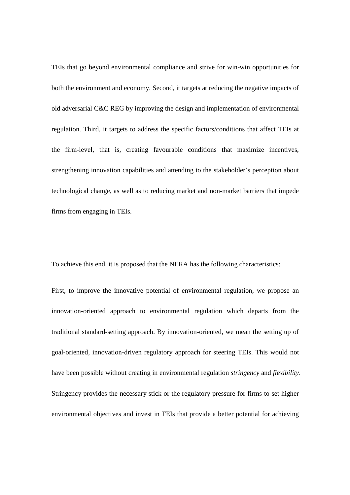TEIs that go beyond environmental compliance and strive for win-win opportunities for both the environment and economy. Second, it targets at reducing the negative impacts of old adversarial C&C REG by improving the design and implementation of environmental regulation. Third, it targets to address the specific factors/conditions that affect TEIs at the firm-level, that is, creating favourable conditions that maximize incentives, strengthening innovation capabilities and attending to the stakeholder's perception about technological change, as well as to reducing market and non-market barriers that impede firms from engaging in TEIs.

To achieve this end, it is proposed that the NERA has the following characteristics:

First, to improve the innovative potential of environmental regulation, we propose an innovation-oriented approach to environmental regulation which departs from the traditional standard-setting approach. By innovation-oriented, we mean the setting up of goal-oriented, innovation-driven regulatory approach for steering TEIs. This would not have been possible without creating in environmental regulation *stringency* and *flexibility*. Stringency provides the necessary stick or the regulatory pressure for firms to set higher environmental objectives and invest in TEIs that provide a better potential for achieving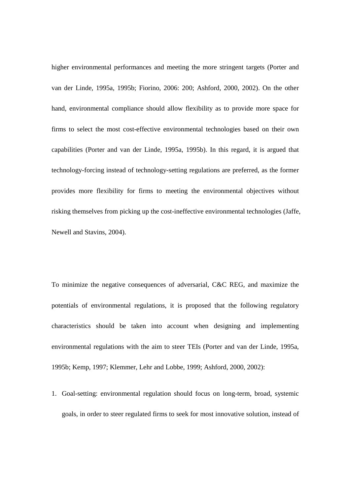higher environmental performances and meeting the more stringent targets (Porter and van der Linde, 1995a, 1995b; Fiorino, 2006: 200; Ashford, 2000, 2002). On the other hand, environmental compliance should allow flexibility as to provide more space for firms to select the most cost-effective environmental technologies based on their own capabilities (Porter and van der Linde, 1995a, 1995b). In this regard, it is argued that technology-forcing instead of technology-setting regulations are preferred, as the former provides more flexibility for firms to meeting the environmental objectives without risking themselves from picking up the cost-ineffective environmental technologies (Jaffe, Newell and Stavins, 2004).

To minimize the negative consequences of adversarial, C&C REG, and maximize the potentials of environmental regulations, it is proposed that the following regulatory characteristics should be taken into account when designing and implementing environmental regulations with the aim to steer TEIs (Porter and van der Linde, 1995a, 1995b; Kemp, 1997; Klemmer, Lehr and Lobbe, 1999; Ashford, 2000, 2002):

1. Goal-setting: environmental regulation should focus on long-term, broad, systemic goals, in order to steer regulated firms to seek for most innovative solution, instead of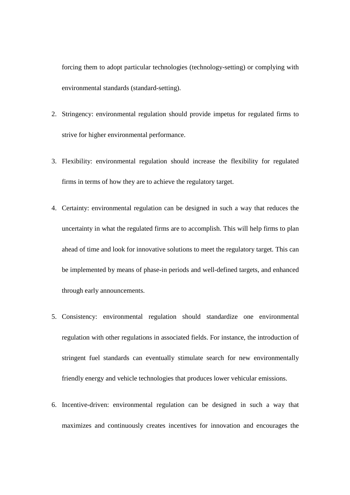forcing them to adopt particular technologies (technology-setting) or complying with environmental standards (standard-setting).

- 2. Stringency: environmental regulation should provide impetus for regulated firms to strive for higher environmental performance.
- 3. Flexibility: environmental regulation should increase the flexibility for regulated firms in terms of how they are to achieve the regulatory target.
- 4. Certainty: environmental regulation can be designed in such a way that reduces the uncertainty in what the regulated firms are to accomplish. This will help firms to plan ahead of time and look for innovative solutions to meet the regulatory target. This can be implemented by means of phase-in periods and well-defined targets, and enhanced through early announcements.
- 5. Consistency: environmental regulation should standardize one environmental regulation with other regulations in associated fields. For instance, the introduction of stringent fuel standards can eventually stimulate search for new environmentally friendly energy and vehicle technologies that produces lower vehicular emissions.
- 6. Incentive-driven: environmental regulation can be designed in such a way that maximizes and continuously creates incentives for innovation and encourages the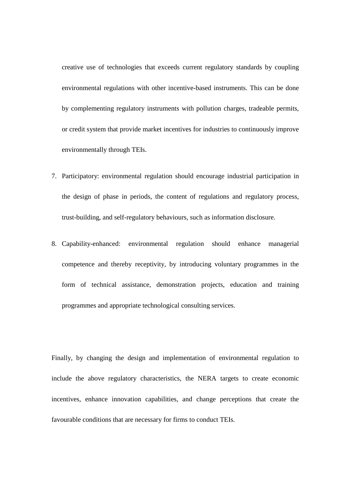creative use of technologies that exceeds current regulatory standards by coupling environmental regulations with other incentive-based instruments. This can be done by complementing regulatory instruments with pollution charges, tradeable permits, or credit system that provide market incentives for industries to continuously improve environmentally through TEIs.

- 7. Participatory: environmental regulation should encourage industrial participation in the design of phase in periods, the content of regulations and regulatory process, trust-building, and self-regulatory behaviours, such as information disclosure.
- 8. Capability-enhanced: environmental regulation should enhance managerial competence and thereby receptivity, by introducing voluntary programmes in the form of technical assistance, demonstration projects, education and training programmes and appropriate technological consulting services.

Finally, by changing the design and implementation of environmental regulation to include the above regulatory characteristics, the NERA targets to create economic incentives, enhance innovation capabilities, and change perceptions that create the favourable conditions that are necessary for firms to conduct TEIs.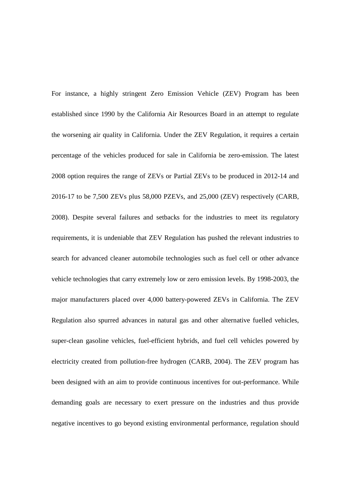For instance, a highly stringent Zero Emission Vehicle (ZEV) Program has been established since 1990 by the California Air Resources Board in an attempt to regulate the worsening air quality in California. Under the ZEV Regulation, it requires a certain percentage of the vehicles produced for sale in California be zero-emission. The latest 2008 option requires the range of ZEVs or Partial ZEVs to be produced in 2012-14 and 2016-17 to be 7,500 ZEVs plus 58,000 PZEVs, and 25,000 (ZEV) respectively (CARB, 2008). Despite several failures and setbacks for the industries to meet its regulatory requirements, it is undeniable that ZEV Regulation has pushed the relevant industries to search for advanced cleaner automobile technologies such as fuel cell or other advance vehicle technologies that carry extremely low or zero emission levels. By 1998-2003, the major manufacturers placed over 4,000 battery-powered ZEVs in California. The ZEV Regulation also spurred advances in natural gas and other alternative fuelled vehicles, super-clean gasoline vehicles, fuel-efficient hybrids, and fuel cell vehicles powered by electricity created from pollution-free hydrogen (CARB, 2004). The ZEV program has been designed with an aim to provide continuous incentives for out-performance. While demanding goals are necessary to exert pressure on the industries and thus provide negative incentives to go beyond existing environmental performance, regulation should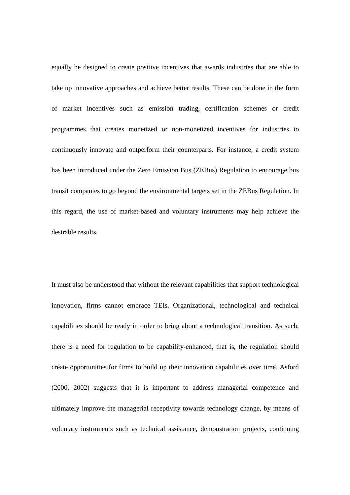equally be designed to create positive incentives that awards industries that are able to take up innovative approaches and achieve better results. These can be done in the form of market incentives such as emission trading, certification schemes or credit programmes that creates monetized or non-monetized incentives for industries to continuously innovate and outperform their counterparts. For instance, a credit system has been introduced under the Zero Emission Bus (ZEBus) Regulation to encourage bus transit companies to go beyond the environmental targets set in the ZEBus Regulation. In this regard, the use of market-based and voluntary instruments may help achieve the desirable results.

It must also be understood that without the relevant capabilities that support technological innovation, firms cannot embrace TEIs. Organizational, technological and technical capabilities should be ready in order to bring about a technological transition. As such, there is a need for regulation to be capability-enhanced, that is, the regulation should create opportunities for firms to build up their innovation capabilities over time. Asford (2000, 2002) suggests that it is important to address managerial competence and ultimately improve the managerial receptivity towards technology change, by means of voluntary instruments such as technical assistance, demonstration projects, continuing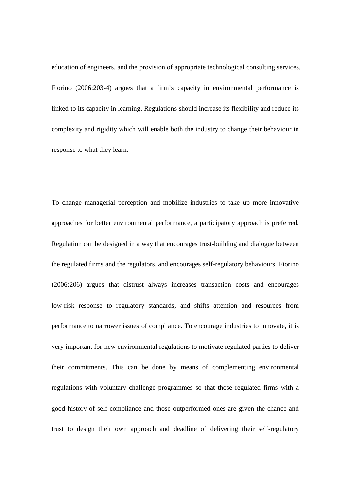education of engineers, and the provision of appropriate technological consulting services. Fiorino (2006:203-4) argues that a firm's capacity in environmental performance is linked to its capacity in learning. Regulations should increase its flexibility and reduce its complexity and rigidity which will enable both the industry to change their behaviour in response to what they learn.

To change managerial perception and mobilize industries to take up more innovative approaches for better environmental performance, a participatory approach is preferred. Regulation can be designed in a way that encourages trust-building and dialogue between the regulated firms and the regulators, and encourages self-regulatory behaviours. Fiorino (2006:206) argues that distrust always increases transaction costs and encourages low-risk response to regulatory standards, and shifts attention and resources from performance to narrower issues of compliance. To encourage industries to innovate, it is very important for new environmental regulations to motivate regulated parties to deliver their commitments. This can be done by means of complementing environmental regulations with voluntary challenge programmes so that those regulated firms with a good history of self-compliance and those outperformed ones are given the chance and trust to design their own approach and deadline of delivering their self-regulatory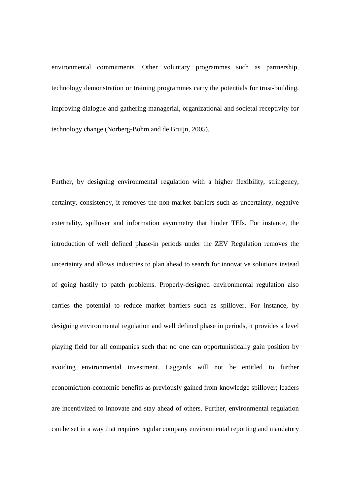environmental commitments. Other voluntary programmes such as partnership, technology demonstration or training programmes carry the potentials for trust-building, improving dialogue and gathering managerial, organizational and societal receptivity for technology change (Norberg-Bohm and de Bruijn, 2005).

Further, by designing environmental regulation with a higher flexibility, stringency, certainty, consistency, it removes the non-market barriers such as uncertainty, negative externality, spillover and information asymmetry that hinder TEIs. For instance, the introduction of well defined phase-in periods under the ZEV Regulation removes the uncertainty and allows industries to plan ahead to search for innovative solutions instead of going hastily to patch problems. Properly-designed environmental regulation also carries the potential to reduce market barriers such as spillover. For instance, by designing environmental regulation and well defined phase in periods, it provides a level playing field for all companies such that no one can opportunistically gain position by avoiding environmental investment. Laggards will not be entitled to further economic/non-economic benefits as previously gained from knowledge spillover; leaders are incentivized to innovate and stay ahead of others. Further, environmental regulation can be set in a way that requires regular company environmental reporting and mandatory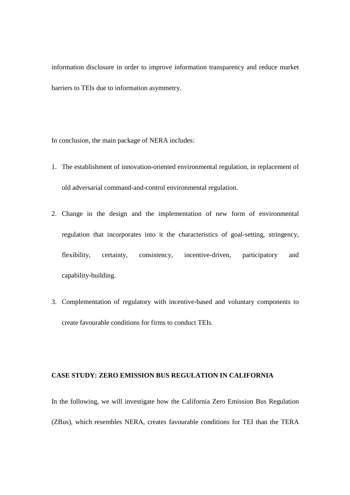information disclosure in order to improve information transparency and reduce market barriers to TEIs due to information asymmetry.

In conclusion, the main package of NERA includes:

- 1. The establishment of innovation-oriented environmental regulation, in replacement of old adversarial command-and-control environmental regulation.
- 2. Change in the design and the implementation of new form of environmental regulation that incorporates into it the characteristics of goal-setting, stringency, flexibility, certainty, consistency, incentive-driven, participatory and capability-building.
- 3. Complementation of regulatory with incentive-based and voluntary components to create favourable conditions for firms to conduct TEIs.

### **CASE STUDY: ZERO EMISSION BUS REGULATION IN CALIFORNIA**

In the following, we will investigate how the California Zero Emission Bus Regulation (ZBus), which resembles NERA, creates favourable conditions for TEI than the TERA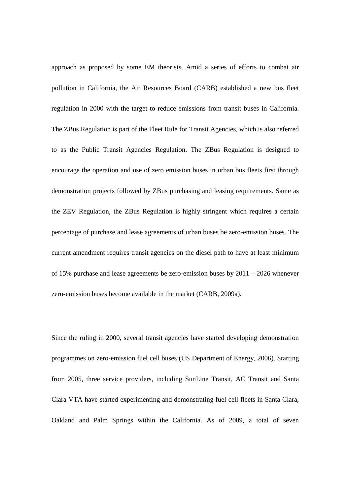approach as proposed by some EM theorists. Amid a series of efforts to combat air pollution in California, the Air Resources Board (CARB) established a new bus fleet regulation in 2000 with the target to reduce emissions from transit buses in California. The ZBus Regulation is part of the Fleet Rule for Transit Agencies, which is also referred to as the Public Transit Agencies Regulation. The ZBus Regulation is designed to encourage the operation and use of zero emission buses in urban bus fleets first through demonstration projects followed by ZBus purchasing and leasing requirements. Same as the ZEV Regulation, the ZBus Regulation is highly stringent which requires a certain percentage of purchase and lease agreements of urban buses be zero-emission buses. The current amendment requires transit agencies on the diesel path to have at least minimum of 15% purchase and lease agreements be zero-emission buses by 2011 – 2026 whenever zero-emission buses become available in the market (CARB, 2009a).

Since the ruling in 2000, several transit agencies have started developing demonstration programmes on zero-emission fuel cell buses (US Department of Energy, 2006). Starting from 2005, three service providers, including SunLine Transit, AC Transit and Santa Clara VTA have started experimenting and demonstrating fuel cell fleets in Santa Clara, Oakland and Palm Springs within the California. As of 2009, a total of seven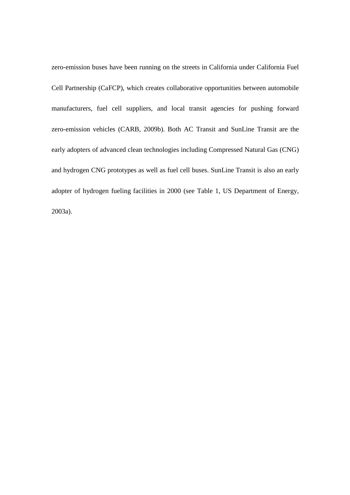zero-emission buses have been running on the streets in California under California Fuel Cell Partnership (CaFCP), which creates collaborative opportunities between automobile manufacturers, fuel cell suppliers, and local transit agencies for pushing forward zero-emission vehicles (CARB, 2009b). Both AC Transit and SunLine Transit are the early adopters of advanced clean technologies including Compressed Natural Gas (CNG) and hydrogen CNG prototypes as well as fuel cell buses. SunLine Transit is also an early adopter of hydrogen fueling facilities in 2000 (see Table 1, US Department of Energy, 2003a).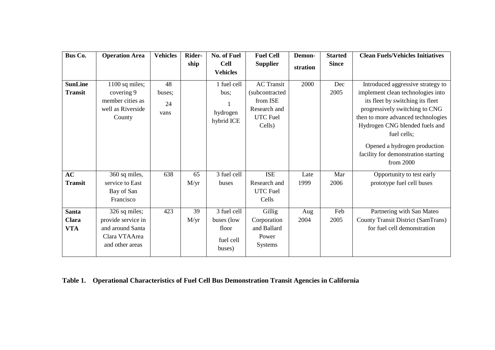| Bus Co.                             | <b>Operation Area</b>                                                                       | <b>Vehicles</b>            | Rider-     | No. of Fuel                                               | <b>Fuel Cell</b>                                                                             | Demon-       | <b>Started</b> | <b>Clean Fuels/Vehicles Initiatives</b>                                                                                                                                                                                                                                                                                   |
|-------------------------------------|---------------------------------------------------------------------------------------------|----------------------------|------------|-----------------------------------------------------------|----------------------------------------------------------------------------------------------|--------------|----------------|---------------------------------------------------------------------------------------------------------------------------------------------------------------------------------------------------------------------------------------------------------------------------------------------------------------------------|
|                                     |                                                                                             |                            | ship       | <b>Cell</b><br><b>Vehicles</b>                            | <b>Supplier</b>                                                                              | stration     | <b>Since</b>   |                                                                                                                                                                                                                                                                                                                           |
| <b>SunLine</b><br><b>Transit</b>    | 1100 sq miles;<br>covering 9<br>member cities as<br>well as Riverside<br>County             | 48<br>buses;<br>24<br>vans |            | 1 fuel cell<br>bus:<br>hydrogen<br>hybrid ICE             | <b>AC</b> Transit<br>(subcontracted<br>from ISE<br>Research and<br><b>UTC</b> Fuel<br>Cells) | 2000         | Dec<br>2005    | Introduced aggressive strategy to<br>implement clean technologies into<br>its fleet by switching its fleet<br>progressively switching to CNG<br>then to more advanced technologies<br>Hydrogen CNG blended fuels and<br>fuel cells;<br>Opened a hydrogen production<br>facility for demonstration starting<br>from $2000$ |
| AC<br><b>Transit</b>                | 360 sq miles,<br>service to East<br>Bay of San<br>Francisco                                 | 638                        | 65<br>M/yr | 3 fuel cell<br>buses                                      | <b>ISE</b><br>Research and<br><b>UTC</b> Fuel<br>Cells                                       | Late<br>1999 | Mar<br>2006    | Opportunity to test early<br>prototype fuel cell buses                                                                                                                                                                                                                                                                    |
| <b>Santa</b><br>Clara<br><b>VTA</b> | 326 sq miles;<br>provide service in<br>and around Santa<br>Clara VTAArea<br>and other areas | 423                        | 39<br>M/yr | 3 fuel cell<br>buses (low<br>floor<br>fuel cell<br>buses) | Gillig<br>Corporation<br>and Ballard<br>Power<br><b>Systems</b>                              | Aug<br>2004  | Feb<br>2005    | Partnering with San Mateo<br>County Transit District (SamTrans)<br>for fuel cell demonstration                                                                                                                                                                                                                            |

## **Table 1. Operational Characteristics of Fuel Cell Bus Demonstration Transit Agencies in California**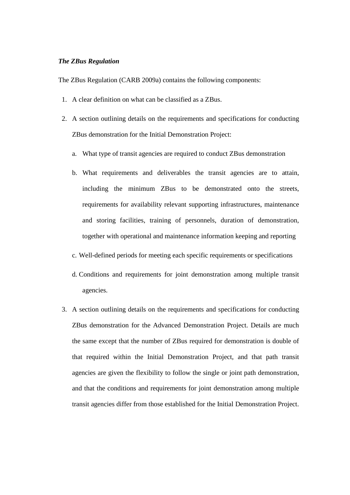## *The ZBus Regulation*

The ZBus Regulation (CARB 2009a) contains the following components:

- 1. A clear definition on what can be classified as a ZBus.
- 2. A section outlining details on the requirements and specifications for conducting ZBus demonstration for the Initial Demonstration Project:
	- a. What type of transit agencies are required to conduct ZBus demonstration
	- b. What requirements and deliverables the transit agencies are to attain, including the minimum ZBus to be demonstrated onto the streets, requirements for availability relevant supporting infrastructures, maintenance and storing facilities, training of personnels, duration of demonstration, together with operational and maintenance information keeping and reporting
	- c. Well-defined periods for meeting each specific requirements or specifications
	- d. Conditions and requirements for joint demonstration among multiple transit agencies.
- 3. A section outlining details on the requirements and specifications for conducting ZBus demonstration for the Advanced Demonstration Project. Details are much the same except that the number of ZBus required for demonstration is double of that required within the Initial Demonstration Project, and that path transit agencies are given the flexibility to follow the single or joint path demonstration, and that the conditions and requirements for joint demonstration among multiple transit agencies differ from those established for the Initial Demonstration Project.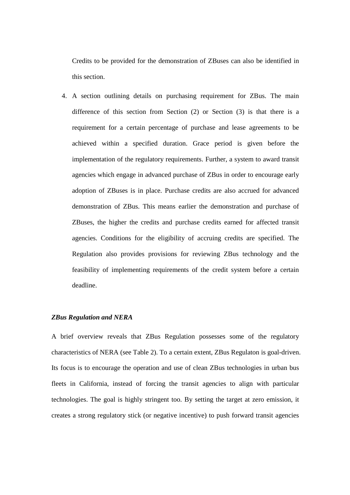Credits to be provided for the demonstration of ZBuses can also be identified in this section.

4. A section outlining details on purchasing requirement for ZBus. The main difference of this section from Section (2) or Section (3) is that there is a requirement for a certain percentage of purchase and lease agreements to be achieved within a specified duration. Grace period is given before the implementation of the regulatory requirements. Further, a system to award transit agencies which engage in advanced purchase of ZBus in order to encourage early adoption of ZBuses is in place. Purchase credits are also accrued for advanced demonstration of ZBus. This means earlier the demonstration and purchase of ZBuses, the higher the credits and purchase credits earned for affected transit agencies. Conditions for the eligibility of accruing credits are specified. The Regulation also provides provisions for reviewing ZBus technology and the feasibility of implementing requirements of the credit system before a certain deadline.

## *ZBus Regulation and NERA*

A brief overview reveals that ZBus Regulation possesses some of the regulatory characteristics of NERA (see Table 2). To a certain extent, ZBus Regulaton is goal-driven. Its focus is to encourage the operation and use of clean ZBus technologies in urban bus fleets in California, instead of forcing the transit agencies to align with particular technologies. The goal is highly stringent too. By setting the target at zero emission, it creates a strong regulatory stick (or negative incentive) to push forward transit agencies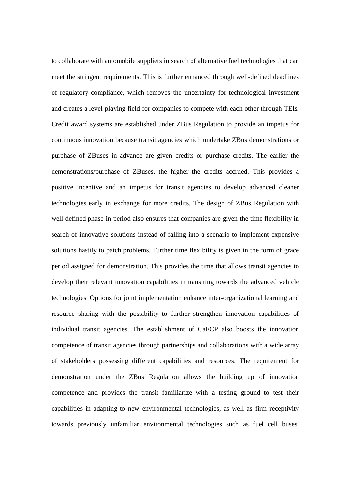to collaborate with automobile suppliers in search of alternative fuel technologies that can meet the stringent requirements. This is further enhanced through well-defined deadlines of regulatory compliance, which removes the uncertainty for technological investment and creates a level-playing field for companies to compete with each other through TEIs. Credit award systems are established under ZBus Regulation to provide an impetus for continuous innovation because transit agencies which undertake ZBus demonstrations or purchase of ZBuses in advance are given credits or purchase credits. The earlier the demonstrations/purchase of ZBuses, the higher the credits accrued. This provides a positive incentive and an impetus for transit agencies to develop advanced cleaner technologies early in exchange for more credits. The design of ZBus Regulation with well defined phase-in period also ensures that companies are given the time flexibility in search of innovative solutions instead of falling into a scenario to implement expensive solutions hastily to patch problems. Further time flexibility is given in the form of grace period assigned for demonstration. This provides the time that allows transit agencies to develop their relevant innovation capabilities in transiting towards the advanced vehicle technologies. Options for joint implementation enhance inter-organizational learning and resource sharing with the possibility to further strengthen innovation capabilities of individual transit agencies. The establishment of CaFCP also boosts the innovation competence of transit agencies through partnerships and collaborations with a wide array of stakeholders possessing different capabilities and resources. The requirement for demonstration under the ZBus Regulation allows the building up of innovation competence and provides the transit familiarize with a testing ground to test their capabilities in adapting to new environmental technologies, as well as firm receptivity towards previously unfamiliar environmental technologies such as fuel cell buses.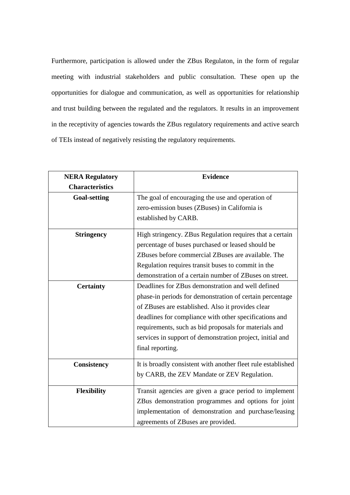Furthermore, participation is allowed under the ZBus Regulaton, in the form of regular meeting with industrial stakeholders and public consultation. These open up the opportunities for dialogue and communication, as well as opportunities for relationship and trust building between the regulated and the regulators. It results in an improvement in the receptivity of agencies towards the ZBus regulatory requirements and active search of TEIs instead of negatively resisting the regulatory requirements.

| <b>NERA Regulatory</b> | <b>Evidence</b>                                                                                                                                                                                                                                                                                                                                                        |  |  |  |  |
|------------------------|------------------------------------------------------------------------------------------------------------------------------------------------------------------------------------------------------------------------------------------------------------------------------------------------------------------------------------------------------------------------|--|--|--|--|
| <b>Characteristics</b> |                                                                                                                                                                                                                                                                                                                                                                        |  |  |  |  |
| <b>Goal-setting</b>    | The goal of encouraging the use and operation of<br>zero-emission buses (ZBuses) in California is<br>established by CARB.                                                                                                                                                                                                                                              |  |  |  |  |
| <b>Stringency</b>      | High stringency. ZBus Regulation requires that a certain<br>percentage of buses purchased or leased should be<br>ZBuses before commercial ZBuses are available. The<br>Regulation requires transit buses to commit in the<br>demonstration of a certain number of ZBuses on street.                                                                                    |  |  |  |  |
| <b>Certainty</b>       | Deadlines for ZBus demonstration and well defined<br>phase-in periods for demonstration of certain percentage<br>of ZBuses are established. Also it provides clear<br>deadlines for compliance with other specifications and<br>requirements, such as bid proposals for materials and<br>services in support of demonstration project, initial and<br>final reporting. |  |  |  |  |
| <b>Consistency</b>     | It is broadly consistent with another fleet rule established<br>by CARB, the ZEV Mandate or ZEV Regulation.                                                                                                                                                                                                                                                            |  |  |  |  |
| <b>Flexibility</b>     | Transit agencies are given a grace period to implement<br>ZBus demonstration programmes and options for joint<br>implementation of demonstration and purchase/leasing<br>agreements of ZBuses are provided.                                                                                                                                                            |  |  |  |  |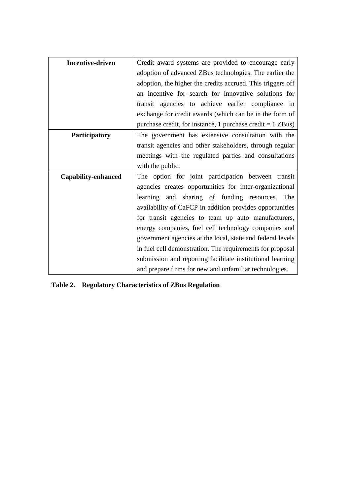| <b>Incentive-driven</b>    | Credit award systems are provided to encourage early         |  |  |  |  |
|----------------------------|--------------------------------------------------------------|--|--|--|--|
|                            | adoption of advanced ZBus technologies. The earlier the      |  |  |  |  |
|                            | adoption, the higher the credits accrued. This triggers off  |  |  |  |  |
|                            | an incentive for search for innovative solutions for         |  |  |  |  |
|                            | transit agencies to achieve earlier compliance in            |  |  |  |  |
|                            | exchange for credit awards (which can be in the form of      |  |  |  |  |
|                            | purchase credit, for instance, 1 purchase credit $= 1$ ZBus) |  |  |  |  |
| Participatory              | The government has extensive consultation with the           |  |  |  |  |
|                            | transit agencies and other stakeholders, through regular     |  |  |  |  |
|                            | meetings with the regulated parties and consultations        |  |  |  |  |
|                            | with the public.                                             |  |  |  |  |
| <b>Capability-enhanced</b> | The option for joint participation between transit           |  |  |  |  |
|                            | agencies creates opportunities for inter-organizational      |  |  |  |  |
|                            | learning and sharing of funding resources.<br>The            |  |  |  |  |
|                            | availability of CaFCP in addition provides opportunities     |  |  |  |  |
|                            | for transit agencies to team up auto manufacturers,          |  |  |  |  |
|                            | energy companies, fuel cell technology companies and         |  |  |  |  |
|                            | government agencies at the local, state and federal levels   |  |  |  |  |
|                            | in fuel cell demonstration. The requirements for proposal    |  |  |  |  |
|                            | submission and reporting facilitate institutional learning   |  |  |  |  |
|                            | and prepare firms for new and unfamiliar technologies.       |  |  |  |  |

**Table 2. Regulatory Characteristics of ZBus Regulation**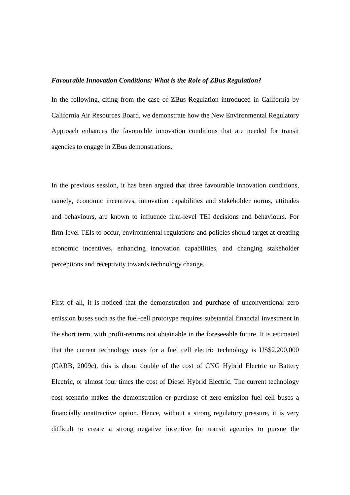#### *Favourable Innovation Conditions: What is the Role of ZBus Regulation?*

In the following, citing from the case of ZBus Regulation introduced in California by California Air Resources Board, we demonstrate how the New Environmental Regulatory Approach enhances the favourable innovation conditions that are needed for transit agencies to engage in ZBus demonstrations.

In the previous session, it has been argued that three favourable innovation conditions, namely, economic incentives, innovation capabilities and stakeholder norms, attitudes and behaviours, are known to influence firm-level TEI decisions and behaviours. For firm-level TEIs to occur, environmental regulations and policies should target at creating economic incentives, enhancing innovation capabilities, and changing stakeholder perceptions and receptivity towards technology change.

First of all, it is noticed that the demonstration and purchase of unconventional zero emission buses such as the fuel-cell prototype requires substantial financial investment in the short term, with profit-returns not obtainable in the foreseeable future. It is estimated that the current technology costs for a fuel cell electric technology is US\$2,200,000 (CARB, 2009c), this is about double of the cost of CNG Hybrid Electric or Battery Electric, or almost four times the cost of Diesel Hybrid Electric. The current technology cost scenario makes the demonstration or purchase of zero-emission fuel cell buses a financially unattractive option. Hence, without a strong regulatory pressure, it is very difficult to create a strong negative incentive for transit agencies to pursue the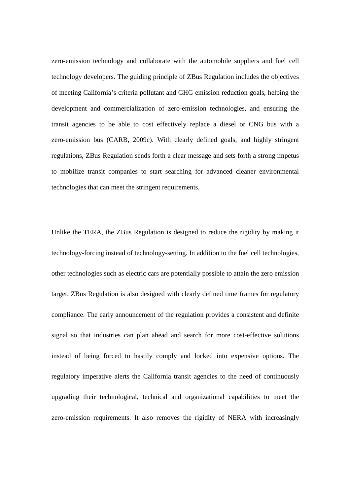zero-emission technology and collaborate with the automobile suppliers and fuel cell technology developers. The guiding principle of ZBus Regulation includes the objectives of meeting California's criteria pollutant and GHG emission reduction goals, helping the development and commercialization of zero-emission technologies, and ensuring the transit agencies to be able to cost effectively replace a diesel or CNG bus with a zero-emission bus (CARB, 2009c). With clearly defined goals, and highly stringent regulations, ZBus Regulation sends forth a clear message and sets forth a strong impetus to mobilize transit companies to start searching for advanced cleaner environmental technologies that can meet the stringent requirements.

Unlike the TERA, the ZBus Regulation is designed to reduce the rigidity by making it technology-forcing instead of technology-setting. In addition to the fuel cell technologies, other technologies such as electric cars are potentially possible to attain the zero emission target. ZBus Regulation is also designed with clearly defined time frames for regulatory compliance. The early announcement of the regulation provides a consistent and definite signal so that industries can plan ahead and search for more cost-effective solutions instead of being forced to hastily comply and locked into expensive options. The regulatory imperative alerts the California transit agencies to the need of continuously upgrading their technological, technical and organizational capabilities to meet the zero-emission requirements. It also removes the rigidity of NERA with increasingly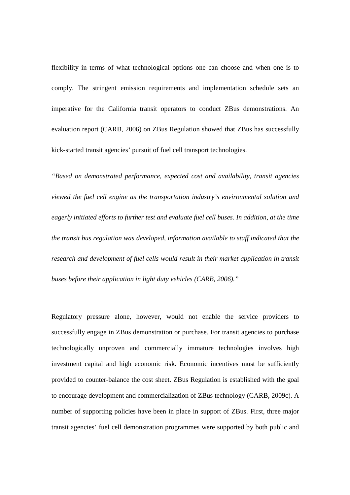flexibility in terms of what technological options one can choose and when one is to comply. The stringent emission requirements and implementation schedule sets an imperative for the California transit operators to conduct ZBus demonstrations. An evaluation report (CARB, 2006) on ZBus Regulation showed that ZBus has successfully kick-started transit agencies' pursuit of fuel cell transport technologies.

*"Based on demonstrated performance, expected cost and availability, transit agencies viewed the fuel cell engine as the transportation industry's environmental solution and eagerly initiated efforts to further test and evaluate fuel cell buses. In addition, at the time the transit bus regulation was developed, information available to staff indicated that the research and development of fuel cells would result in their market application in transit buses before their application in light duty vehicles (CARB, 2006)."* 

Regulatory pressure alone, however, would not enable the service providers to successfully engage in ZBus demonstration or purchase. For transit agencies to purchase technologically unproven and commercially immature technologies involves high investment capital and high economic risk. Economic incentives must be sufficiently provided to counter-balance the cost sheet. ZBus Regulation is established with the goal to encourage development and commercialization of ZBus technology (CARB, 2009c). A number of supporting policies have been in place in support of ZBus. First, three major transit agencies' fuel cell demonstration programmes were supported by both public and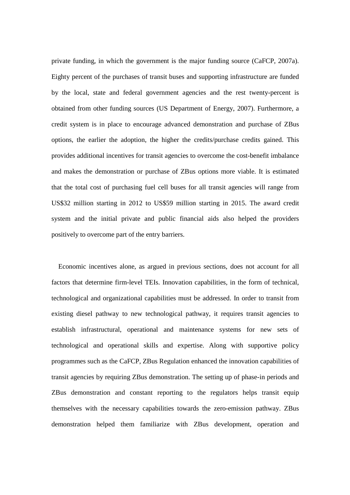private funding, in which the government is the major funding source (CaFCP, 2007a). Eighty percent of the purchases of transit buses and supporting infrastructure are funded by the local, state and federal government agencies and the rest twenty-percent is obtained from other funding sources (US Department of Energy, 2007). Furthermore, a credit system is in place to encourage advanced demonstration and purchase of ZBus options, the earlier the adoption, the higher the credits/purchase credits gained. This provides additional incentives for transit agencies to overcome the cost-benefit imbalance and makes the demonstration or purchase of ZBus options more viable. It is estimated that the total cost of purchasing fuel cell buses for all transit agencies will range from US\$32 million starting in 2012 to US\$59 million starting in 2015. The award credit system and the initial private and public financial aids also helped the providers positively to overcome part of the entry barriers.

Economic incentives alone, as argued in previous sections, does not account for all factors that determine firm-level TEIs. Innovation capabilities, in the form of technical, technological and organizational capabilities must be addressed. In order to transit from existing diesel pathway to new technological pathway, it requires transit agencies to establish infrastructural, operational and maintenance systems for new sets of technological and operational skills and expertise. Along with supportive policy programmes such as the CaFCP, ZBus Regulation enhanced the innovation capabilities of transit agencies by requiring ZBus demonstration. The setting up of phase-in periods and ZBus demonstration and constant reporting to the regulators helps transit equip themselves with the necessary capabilities towards the zero-emission pathway. ZBus demonstration helped them familiarize with ZBus development, operation and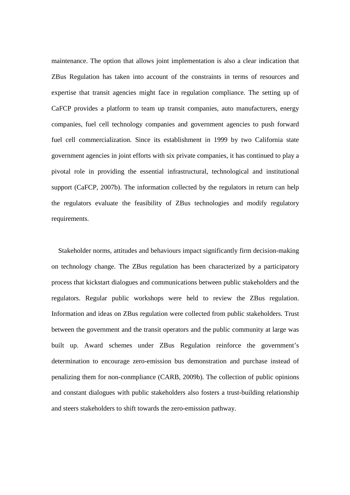maintenance. The option that allows joint implementation is also a clear indication that ZBus Regulation has taken into account of the constraints in terms of resources and expertise that transit agencies might face in regulation compliance. The setting up of CaFCP provides a platform to team up transit companies, auto manufacturers, energy companies, fuel cell technology companies and government agencies to push forward fuel cell commercialization. Since its establishment in 1999 by two California state government agencies in joint efforts with six private companies, it has continued to play a pivotal role in providing the essential infrastructural, technological and institutional support (CaFCP, 2007b). The information collected by the regulators in return can help the regulators evaluate the feasibility of ZBus technologies and modify regulatory requirements.

Stakeholder norms, attitudes and behaviours impact significantly firm decision-making on technology change. The ZBus regulation has been characterized by a participatory process that kickstart dialogues and communications between public stakeholders and the regulators. Regular public workshops were held to review the ZBus regulation. Information and ideas on ZBus regulation were collected from public stakeholders. Trust between the government and the transit operators and the public community at large was built up. Award schemes under ZBus Regulation reinforce the government's determination to encourage zero-emission bus demonstration and purchase instead of penalizing them for non-conmpliance (CARB, 2009b). The collection of public opinions and constant dialogues with public stakeholders also fosters a trust-building relationship and steers stakeholders to shift towards the zero-emission pathway.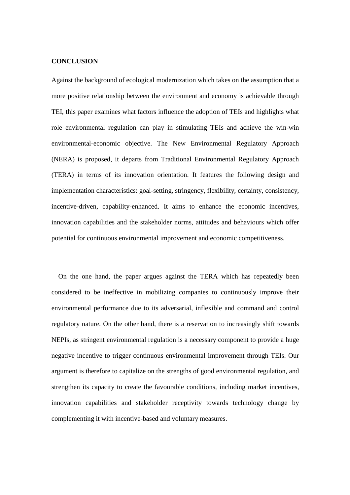## **CONCLUSION**

Against the background of ecological modernization which takes on the assumption that a more positive relationship between the environment and economy is achievable through TEI, this paper examines what factors influence the adoption of TEIs and highlights what role environmental regulation can play in stimulating TEIs and achieve the win-win environmental-economic objective. The New Environmental Regulatory Approach (NERA) is proposed, it departs from Traditional Environmental Regulatory Approach (TERA) in terms of its innovation orientation. It features the following design and implementation characteristics: goal-setting, stringency, flexibility, certainty, consistency, incentive-driven, capability-enhanced. It aims to enhance the economic incentives, innovation capabilities and the stakeholder norms, attitudes and behaviours which offer potential for continuous environmental improvement and economic competitiveness.

On the one hand, the paper argues against the TERA which has repeatedly been considered to be ineffective in mobilizing companies to continuously improve their environmental performance due to its adversarial, inflexible and command and control regulatory nature. On the other hand, there is a reservation to increasingly shift towards NEPIs, as stringent environmental regulation is a necessary component to provide a huge negative incentive to trigger continuous environmental improvement through TEIs. Our argument is therefore to capitalize on the strengths of good environmental regulation, and strengthen its capacity to create the favourable conditions, including market incentives, innovation capabilities and stakeholder receptivity towards technology change by complementing it with incentive-based and voluntary measures.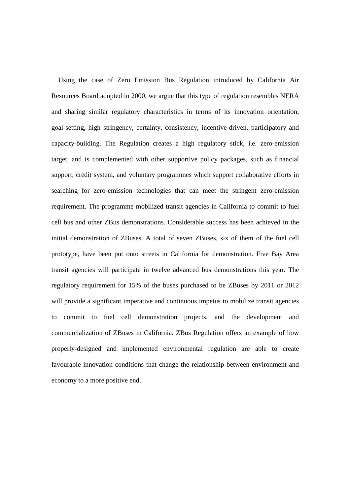Using the case of Zero Emission Bus Regulation introduced by California Air Resources Board adopted in 2000, we argue that this type of regulation resembles NERA and sharing similar regulatory characteristics in terms of its innovation orientation, goal-setting, high stringency, certainty, consistency, incentive-driven, participatory and capacity-building. The Regulation creates a high regulatory stick, i.e. zero-emission target, and is complemented with other supportive policy packages, such as financial support, credit system, and voluntary programmes which support collaborative efforts in searching for zero-emission technologies that can meet the stringent zero-emission requirement. The programme mobilized transit agencies in California to commit to fuel cell bus and other ZBus demonstrations. Considerable success has been achieved in the initial demonstration of ZBuses. A total of seven ZBuses, six of them of the fuel cell prototype, have been put onto streets in California for demonstration. Five Bay Area transit agencies will participate in twelve advanced bus demonstrations this year. The regulatory requirement for 15% of the buses purchased to be ZBuses by 2011 or 2012 will provide a significant imperative and continuous impetus to mobilize transit agencies to commit to fuel cell demonstration projects, and the development and commercialization of ZBuses in California. ZBus Regulation offers an example of how properly-designed and implemented environmental regulation are able to create favourable innovation conditions that change the relationship between environment and economy to a more positive end.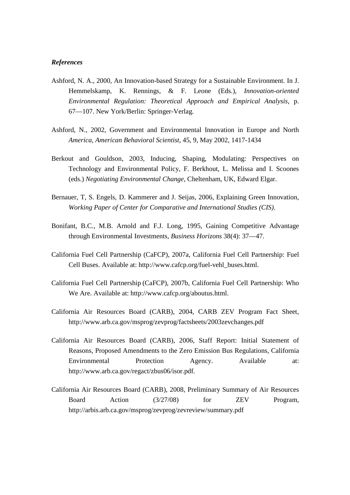## *References*

- Ashford, N. A., 2000, An Innovation-based Strategy for a Sustainable Environment. In J. Hemmelskamp, K. Rennings, & F. Leone (Eds.), *Innovation-oriented Environmental Regulation: Theoretical Approach and Empirical Analysis*, p. 67—107. New York/Berlin: Springer-Verlag.
- Ashford, N., 2002, Government and Environmental Innovation in Europe and North *America, American Behavioral Scientist*, 45, 9, May 2002, 1417-1434
- Berkout and Gouldson, 2003, Inducing, Shaping, Modulating: Perspectives on Technology and Environmental Policy, F. Berkhout, L. Melissa and I. Scoones (eds.) *Negotiating Environmental Change*, Cheltenham, UK, Edward Elgar.
- Bernauer, T, S. Engels, D. Kammerer and J. Seijas, 2006, Explaining Green Innovation, *Working Paper of Center for Comparative and International Studies (CIS)*.
- Bonifant, B.C., M.B. Arnold and F.J. Long, 1995, Gaining Competitive Advantage through Environmental Investments, *Business Horizons* 38(4): 37—47.
- California Fuel Cell Partnership (CaFCP), 2007a, California Fuel Cell Partnership: Fuel Cell Buses. Available at: http://www.cafcp.org/fuel-vehl\_buses.html.
- California Fuel Cell Partnership (CaFCP), 2007b, California Fuel Cell Partnership: Who We Are. Available at: http://www.cafcp.org/aboutus.html.
- California Air Resources Board (CARB), 2004, CARB ZEV Program Fact Sheet, http://www.arb.ca.gov/msprog/zevprog/factsheets/2003zevchanges.pdf
- California Air Resources Board (CARB), 2006, Staff Report: Initial Statement of Reasons, Proposed Amendments to the Zero Emission Bus Regulations, California Environmental Protection Agency. Available at: http://www.arb.ca.gov/regact/zbus06/isor.pdf.
- California Air Resources Board (CARB), 2008, Preliminary Summary of Air Resources Board Action (3/27/08) for ZEV Program, http://arbis.arb.ca.gov/msprog/zevprog/zevreview/summary.pdf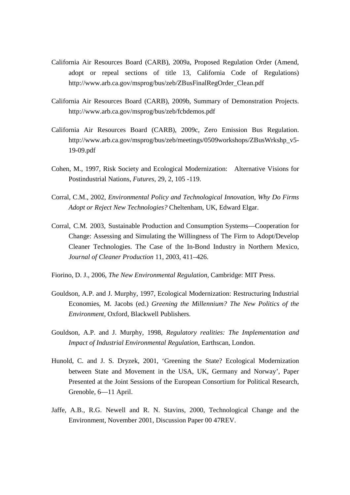- California Air Resources Board (CARB), 2009a, Proposed Regulation Order (Amend, adopt or repeal sections of title 13, California Code of Regulations) http://www.arb.ca.gov/msprog/bus/zeb/ZBusFinalRegOrder\_Clean.pdf
- California Air Resources Board (CARB), 2009b, Summary of Demonstration Projects. http://www.arb.ca.gov/msprog/bus/zeb/fcbdemos.pdf
- California Air Resources Board (CARB), 2009c, Zero Emission Bus Regulation. http://www.arb.ca.gov/msprog/bus/zeb/meetings/0509workshops/ZBusWrkshp\_v5- 19-09.pdf
- Cohen, M., 1997, Risk Society and Ecological Modernization: Alternative Visions for Postindustrial Nations, *Futures*, 29, 2, 105 -119.
- Corral, C.M., 2002, *Environmental Policy and Technological Innovation, Why Do Firms Adopt or Reject New Technologies?* Cheltenham, UK, Edward Elgar.
- Corral, C.M. 2003, Sustainable Production and Consumption Systems—Cooperation for Change: Assessing and Simulating the Willingness of The Firm to Adopt/Develop Cleaner Technologies. The Case of the In-Bond Industry in Northern Mexico, *Journal of Cleaner Production* 11, 2003, 411–426.
- Fiorino, D. J., 2006, *The New Environmental Regulation*, Cambridge: MIT Press.
- Gouldson, A.P. and J. Murphy, 1997, Ecological Modernization: Restructuring Industrial Economies, M. Jacobs (ed.) *Greening the Millennium? The New Politics of the Environment*, Oxford, Blackwell Publishers.
- Gouldson, A.P. and J. Murphy, 1998, *Regulatory realities: The Implementation and Impact of Industrial Environmental Regulation*, Earthscan, London.
- Hunold, C. and J. S. Dryzek, 2001, 'Greening the State? Ecological Modernization between State and Movement in the USA, UK, Germany and Norway', Paper Presented at the Joint Sessions of the European Consortium for Political Research, Grenoble, 6—11 April.
- Jaffe, A.B., R.G. Newell and R. N. Stavins, 2000, Technological Change and the Environment, November 2001, Discussion Paper 00 47REV.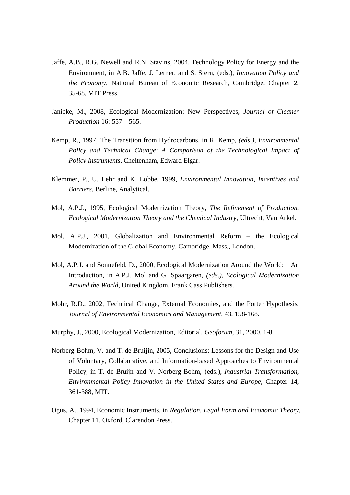- Jaffe, A.B., R.G. Newell and R.N. Stavins, 2004, Technology Policy for Energy and the Environment, in A.B. Jaffe, J. Lerner, and S. Stern, (eds.), *Innovation Policy and the Economy*, National Bureau of Economic Research, Cambridge, Chapter 2, 35-68, MIT Press.
- Janicke, M., 2008, Ecological Modernization: New Perspectives, *Journal of Cleaner Production* 16: 557—565.
- Kemp, R., 1997, The Transition from Hydrocarbons, in R. Kemp, *(eds.)*, *Environmental*  Policy and Technical Change: A Comparison of the Technological Impact of *Policy Instruments*, Cheltenham, Edward Elgar.
- Klemmer, P., U. Lehr and K. Lobbe, 1999, *Environmental Innovation, Incentives and Barriers,* Berline, Analytical.
- Mol, A.P.J., 1995, Ecological Modernization Theory, *The Refinement of Production, Ecological Modernization Theory and the Chemical Industry*, Ultrecht, Van Arkel.
- Mol, A.P.J., 2001, Globalization and Environmental Reform the Ecological Modernization of the Global Economy. Cambridge, Mass., London.
- Mol, A.P.J. and Sonnefeld, D., 2000, Ecological Modernization Around the World: An Introduction, in A.P.J. Mol and G. Spaargaren, *(eds.)*, *Ecological Modernization Around the World*, United Kingdom, Frank Cass Publishers.
- Mohr, R.D., 2002, Technical Change, External Economies, and the Porter Hypothesis, *Journal of Environmental Economics and Management*, 43, 158-168.
- Murphy, J., 2000, Ecological Modernization, Editorial, *Geoforum*, 31, 2000, 1-8.
- Norberg-Bohm, V. and T. de Bruijin, 2005, Conclusions: Lessons for the Design and Use of Voluntary, Collaborative, and Information-based Approaches to Environmental Policy, in T. de Bruijn and V. Norberg-Bohm, (eds.), *Industrial Transformation, Environmental Policy Innovation in the United States and Europe*, Chapter 14, 361-388, MIT.
- Ogus, A., 1994, Economic Instruments, in *Regulation, Legal Form and Economic Theory*, Chapter 11, Oxford, Clarendon Press.